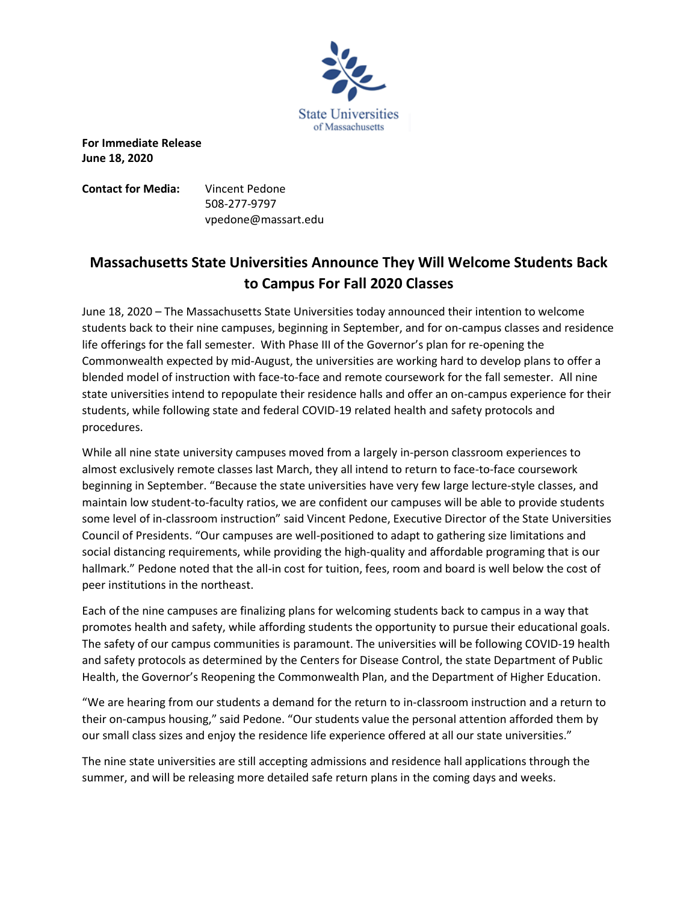

**For Immediate Release June 18, 2020** 

**Contact for Media:** Vincent Pedone 508-277-9797 vpedone@massart.edu

## **Massachusetts State Universities Announce They Will Welcome Students Back to Campus For Fall 2020 Classes**

June 18, 2020 – The Massachusetts State Universities today announced their intention to welcome students back to their nine campuses, beginning in September, and for on-campus classes and residence life offerings for the fall semester. With Phase III of the Governor's plan for re-opening the Commonwealth expected by mid-August, the universities are working hard to develop plans to offer a blended model of instruction with face-to-face and remote coursework for the fall semester. All nine state universities intend to repopulate their residence halls and offer an on-campus experience for their students, while following state and federal COVID-19 related health and safety protocols and procedures.

While all nine state university campuses moved from a largely in-person classroom experiences to almost exclusively remote classes last March, they all intend to return to face-to-face coursework beginning in September. "Because the state universities have very few large lecture-style classes, and maintain low student-to-faculty ratios, we are confident our campuses will be able to provide students some level of in-classroom instruction" said Vincent Pedone, Executive Director of the State Universities Council of Presidents. "Our campuses are well-positioned to adapt to gathering size limitations and social distancing requirements, while providing the high-quality and affordable programing that is our hallmark." Pedone noted that the all-in cost for tuition, fees, room and board is well below the cost of peer institutions in the northeast.

Each of the nine campuses are finalizing plans for welcoming students back to campus in a way that promotes health and safety, while affording students the opportunity to pursue their educational goals. The safety of our campus communities is paramount. The universities will be following COVID-19 health and safety protocols as determined by the Centers for Disease Control, the state Department of Public Health, the Governor's Reopening the Commonwealth Plan, and the Department of Higher Education.

"We are hearing from our students a demand for the return to in-classroom instruction and a return to their on-campus housing," said Pedone. "Our students value the personal attention afforded them by our small class sizes and enjoy the residence life experience offered at all our state universities."

The nine state universities are still accepting admissions and residence hall applications through the summer, and will be releasing more detailed safe return plans in the coming days and weeks.